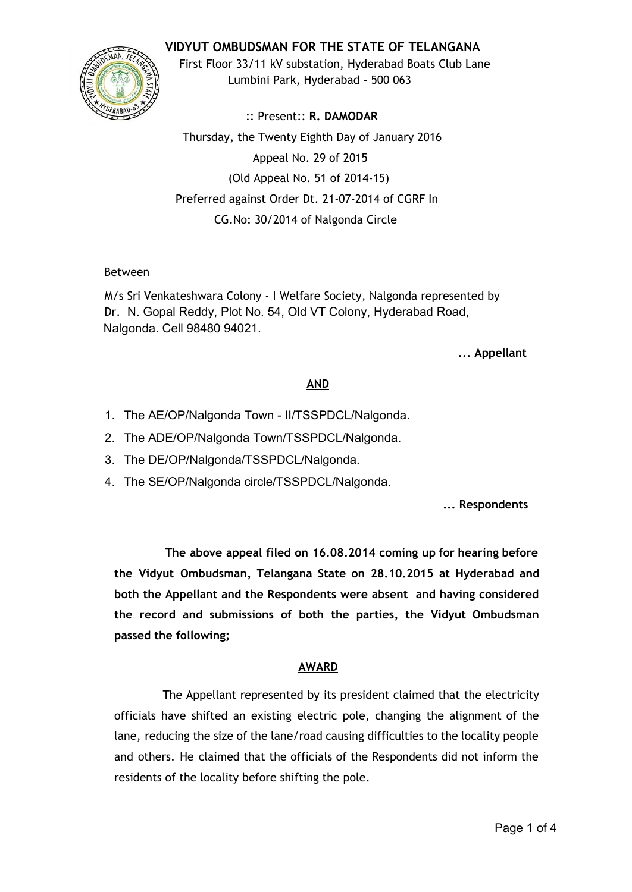**VIDYUT OMBUDSMAN FOR THE STATE OF TELANGANA**



First Floor 33/11 kV substation, Hyderabad Boats Club Lane Lumbini Park, Hyderabad - 500 063

:: Present:: **R. DAMODAR** Thursday, the Twenty Eighth Day of January 2016 Appeal No. 29 of 2015 (Old Appeal No. 51 of 2014-15) Preferred against Order Dt. 21-07-2014 of CGRF In CG.No: 30/2014 of Nalgonda Circle

# Between

M/s Sri Venkateshwara Colony - I Welfare Society, Nalgonda represented by Dr. N. Gopal Reddy, Plot No. 54, Old VT Colony, Hyderabad Road, Nalgonda. Cell 98480 94021.

# **... Appellant**

# **AND**

- 1. The AE/OP/Nalgonda Town II/TSSPDCL/Nalgonda.
- 2. The ADE/OP/Nalgonda Town/TSSPDCL/Nalgonda.
- 3. The DE/OP/Nalgonda/TSSPDCL/Nalgonda.
- 4. The SE/OP/Nalgonda circle/TSSPDCL/Nalgonda.

**... Respondents**

**The above appeal filed on 16.08.2014 coming up for hearing before the Vidyut Ombudsman, Telangana State on 28.10.2015 at Hyderabad and both the Appellant and the Respondents were absent and having considered the record and submissions of both the parties, the Vidyut Ombudsman passed the following;**

# **AWARD**

The Appellant represented by its president claimed that the electricity officials have shifted an existing electric pole, changing the alignment of the lane, reducing the size of the lane/road causing difficulties to the locality people and others. He claimed that the officials of the Respondents did not inform the residents of the locality before shifting the pole.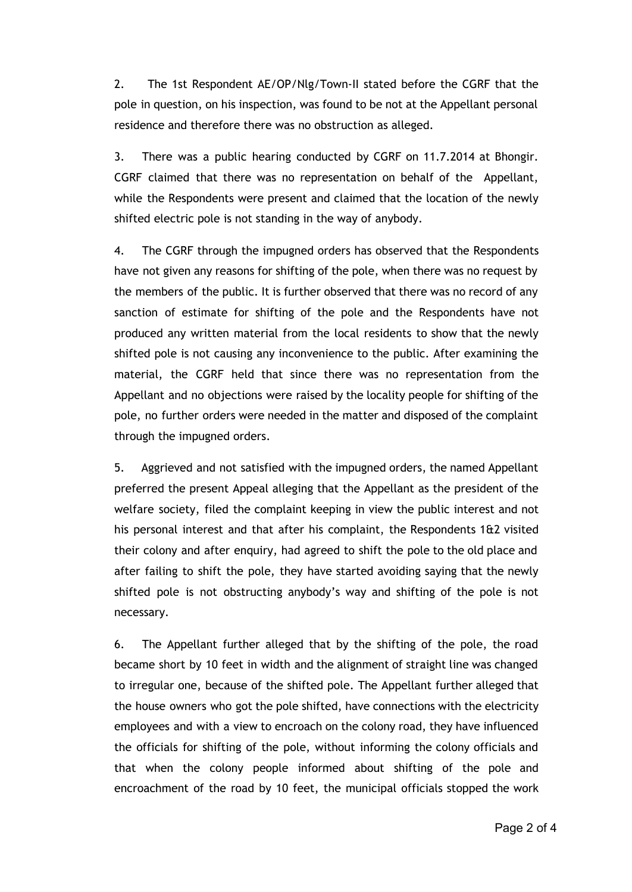2. The 1st Respondent AE/OP/Nlg/Town-II stated before the CGRF that the pole in question, on his inspection, was found to be not at the Appellant personal residence and therefore there was no obstruction as alleged.

3. There was a public hearing conducted by CGRF on 11.7.2014 at Bhongir. CGRF claimed that there was no representation on behalf of the Appellant, while the Respondents were present and claimed that the location of the newly shifted electric pole is not standing in the way of anybody.

4. The CGRF through the impugned orders has observed that the Respondents have not given any reasons for shifting of the pole, when there was no request by the members of the public. It is further observed that there was no record of any sanction of estimate for shifting of the pole and the Respondents have not produced any written material from the local residents to show that the newly shifted pole is not causing any inconvenience to the public. After examining the material, the CGRF held that since there was no representation from the Appellant and no objections were raised by the locality people for shifting of the pole, no further orders were needed in the matter and disposed of the complaint through the impugned orders.

5. Aggrieved and not satisfied with the impugned orders, the named Appellant preferred the present Appeal alleging that the Appellant as the president of the welfare society, filed the complaint keeping in view the public interest and not his personal interest and that after his complaint, the Respondents 1&2 visited their colony and after enquiry, had agreed to shift the pole to the old place and after failing to shift the pole, they have started avoiding saying that the newly shifted pole is not obstructing anybody's way and shifting of the pole is not necessary.

6. The Appellant further alleged that by the shifting of the pole, the road became short by 10 feet in width and the alignment of straight line was changed to irregular one, because of the shifted pole. The Appellant further alleged that the house owners who got the pole shifted, have connections with the electricity employees and with a view to encroach on the colony road, they have influenced the officials for shifting of the pole, without informing the colony officials and that when the colony people informed about shifting of the pole and encroachment of the road by 10 feet, the municipal officials stopped the work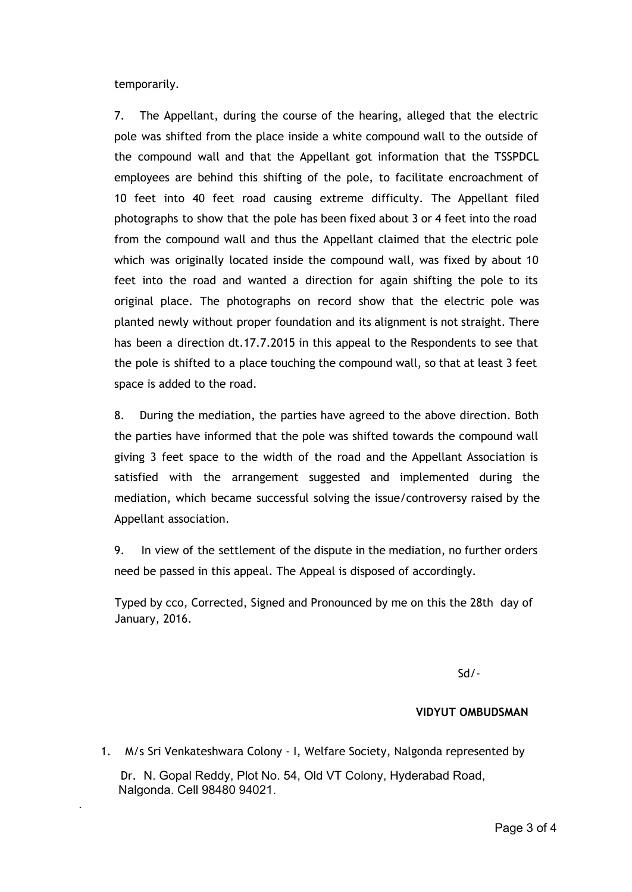temporarily.

.

7. The Appellant, during the course of the hearing, alleged that the electric pole was shifted from the place inside a white compound wall to the outside of the compound wall and that the Appellant got information that the TSSPDCL employees are behind this shifting of the pole, to facilitate encroachment of 10 feet into 40 feet road causing extreme difficulty. The Appellant filed photographs to show that the pole has been fixed about 3 or 4 feet into the road from the compound wall and thus the Appellant claimed that the electric pole which was originally located inside the compound wall, was fixed by about 10 feet into the road and wanted a direction for again shifting the pole to its original place. The photographs on record show that the electric pole was planted newly without proper foundation and its alignment is not straight. There has been a direction dt.17.7.2015 in this appeal to the Respondents to see that the pole is shifted to a place touching the compound wall, so that at least 3 feet space is added to the road.

8. During the mediation, the parties have agreed to the above direction. Both the parties have informed that the pole was shifted towards the compound wall giving 3 feet space to the width of the road and the Appellant Association is satisfied with the arrangement suggested and implemented during the mediation, which became successful solving the issue/controversy raised by the Appellant association.

9. In view of the settlement of the dispute in the mediation, no further orders need be passed in this appeal. The Appeal is disposed of accordingly.

 Typed by cco, Corrected, Signed and Pronounced by me on this the 28th day of January, 2016.

Sd/-

#### **VIDYUT OMBUDSMAN**

1. M/s Sri Venkateshwara Colony - I, Welfare Society, Nalgonda represented by

Dr. N. Gopal Reddy, Plot No. 54, Old VT Colony, Hyderabad Road, Nalgonda. Cell 98480 94021.